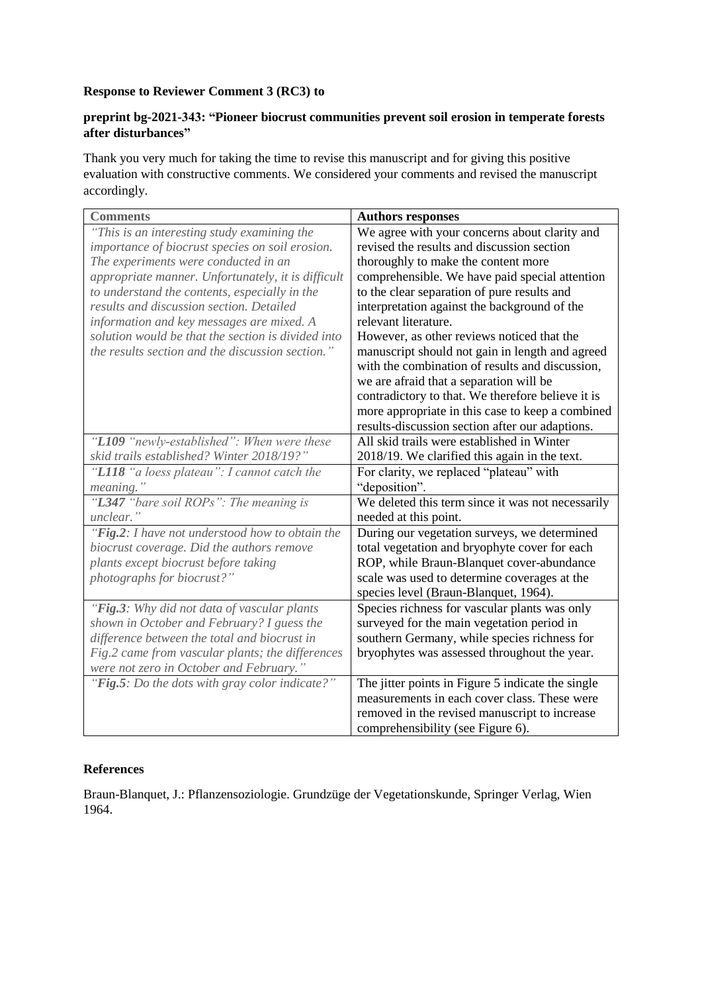## **Response to Reviewer Comment 3 (RC3) to**

## **preprint bg-2021-343: "Pioneer biocrust communities prevent soil erosion in temperate forests after disturbances"**

Thank you very much for taking the time to revise this manuscript and for giving this positive evaluation with constructive comments. We considered your comments and revised the manuscript accordingly.

| <b>Comments</b>                                                                                | <b>Authors responses</b>                                                                      |
|------------------------------------------------------------------------------------------------|-----------------------------------------------------------------------------------------------|
| "This is an interesting study examining the<br>importance of biocrust species on soil erosion. | We agree with your concerns about clarity and<br>revised the results and discussion section   |
| The experiments were conducted in an                                                           | thoroughly to make the content more                                                           |
| appropriate manner. Unfortunately, it is difficult                                             | comprehensible. We have paid special attention                                                |
| to understand the contents, especially in the                                                  | to the clear separation of pure results and                                                   |
| results and discussion section. Detailed                                                       | interpretation against the background of the                                                  |
| information and key messages are mixed. A                                                      | relevant literature.                                                                          |
| solution would be that the section is divided into                                             | However, as other reviews noticed that the                                                    |
| the results section and the discussion section."                                               | manuscript should not gain in length and agreed                                               |
|                                                                                                | with the combination of results and discussion,                                               |
|                                                                                                | we are afraid that a separation will be                                                       |
|                                                                                                | contradictory to that. We therefore believe it is                                             |
|                                                                                                | more appropriate in this case to keep a combined                                              |
| "L109 "newly-established": When were these                                                     | results-discussion section after our adaptions.<br>All skid trails were established in Winter |
| skid trails established? Winter 2018/19?"                                                      | 2018/19. We clarified this again in the text.                                                 |
| "L118 "a loess plateau": I cannot catch the                                                    | For clarity, we replaced "plateau" with                                                       |
| meaning."                                                                                      | "deposition".                                                                                 |
| "L347 "bare soil ROPs": The meaning is                                                         | We deleted this term since it was not necessarily                                             |
| unclear."                                                                                      | needed at this point.                                                                         |
| "Fig.2: I have not understood how to obtain the                                                | During our vegetation surveys, we determined                                                  |
| biocrust coverage. Did the authors remove                                                      | total vegetation and bryophyte cover for each                                                 |
| plants except biocrust before taking                                                           | ROP, while Braun-Blanquet cover-abundance                                                     |
| photographs for biocrust?"                                                                     | scale was used to determine coverages at the                                                  |
|                                                                                                | species level (Braun-Blanquet, 1964).                                                         |
| "Fig.3: Why did not data of vascular plants                                                    | Species richness for vascular plants was only                                                 |
| shown in October and February? I guess the                                                     | surveyed for the main vegetation period in                                                    |
| difference between the total and biocrust in                                                   | southern Germany, while species richness for                                                  |
| Fig.2 came from vascular plants; the differences                                               | bryophytes was assessed throughout the year.                                                  |
| were not zero in October and February."                                                        |                                                                                               |
| "Fig.5: Do the dots with gray color indicate?"                                                 | The jitter points in Figure 5 indicate the single                                             |
|                                                                                                | measurements in each cover class. These were                                                  |
|                                                                                                | removed in the revised manuscript to increase                                                 |
|                                                                                                | comprehensibility (see Figure 6).                                                             |

## **References**

Braun-Blanquet, J.: Pflanzensoziologie. Grundzüge der Vegetationskunde, Springer Verlag, Wien 1964.